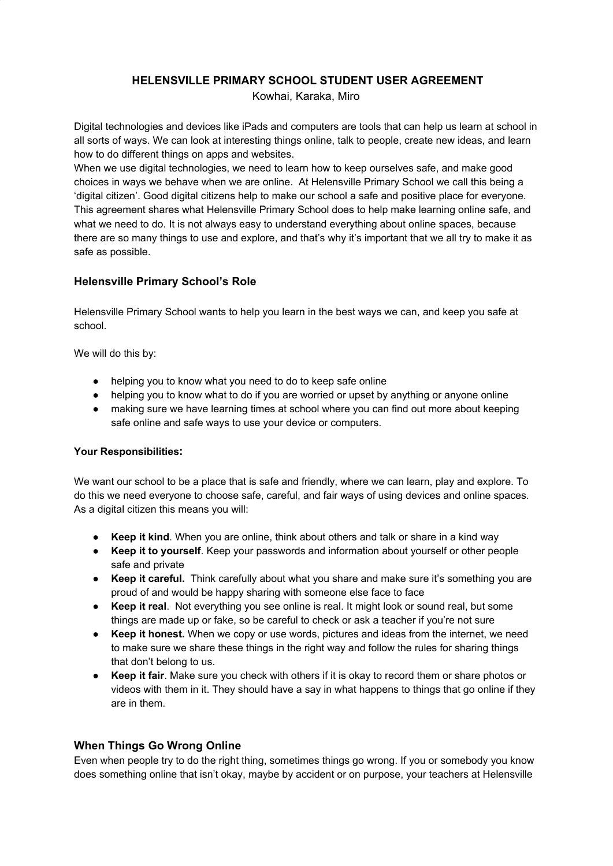# **HELENSVILLE PRIMARY SCHOOL STUDENT USER AGREEMENT**

Kowhai, Karaka, Miro

Digital technologies and devices like iPads and computers are tools that can help us learn at school in all sorts of ways. We can look at interesting things online, talk to people, create new ideas, and learn how to do different things on apps and websites.

When we use digital technologies, we need to learn how to keep ourselves safe, and make good choices in ways we behave when we are online. At Helensville Primary School we call this being a 'digital citizen'. Good digital citizens help to make our school a safe and positive place for everyone. This agreement shares what Helensville Primary School does to help make learning online safe, and what we need to do. It is not always easy to understand everything about online spaces, because there are so many things to use and explore, and that's why it's important that we all try to make it as safe as possible.

# **Helensville Primary School's Role**

Helensville Primary School wants to help you learn in the best ways we can, and keep you safe at school.

We will do this by:

- helping you to know what you need to do to keep safe online
- helping you to know what to do if you are worried or upset by anything or anyone online
- making sure we have learning times at school where you can find out more about keeping safe online and safe ways to use your device or computers.

### **Your Responsibilities:**

We want our school to be a place that is safe and friendly, where we can learn, play and explore. To do this we need everyone to choose safe, careful, and fair ways of using devices and online spaces. As a digital citizen this means you will:

- **Keep it kind**. When you are online, think about others and talk or share in a kind way
- **Keep it to yourself**. Keep your passwords and information about yourself or other people safe and private
- **Keep it careful.** Think carefully about what you share and make sure it's something you are proud of and would be happy sharing with someone else face to face
- **Keep it real**. Not everything you see online is real. It might look or sound real, but some things are made up or fake, so be careful to check or ask a teacher if you're not sure
- **Keep it honest.** When we copy or use words, pictures and ideas from the internet, we need to make sure we share these things in the right way and follow the rules for sharing things that don't belong to us.
- **Keep it fair**. Make sure you check with others if it is okay to record them or share photos or videos with them in it. They should have a say in what happens to things that go online if they are in them.

## **When Things Go Wrong Online**

Even when people try to do the right thing, sometimes things go wrong. If you or somebody you know does something online that isn't okay, maybe by accident or on purpose, your teachers at Helensville